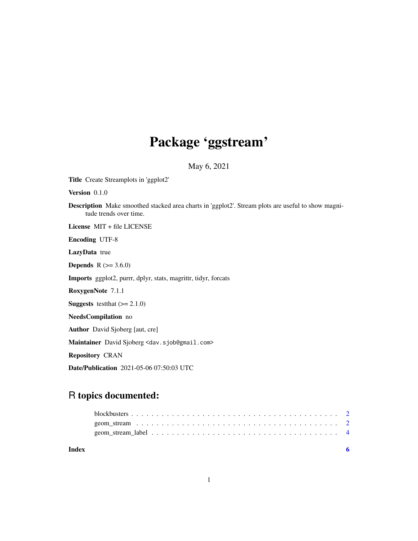## Package 'ggstream'

May 6, 2021

Title Create Streamplots in 'ggplot2'

Version 0.1.0

Description Make smoothed stacked area charts in 'ggplot2'. Stream plots are useful to show magnitude trends over time.

License MIT + file LICENSE

Encoding UTF-8

LazyData true

**Depends** R  $(>= 3.6.0)$ 

Imports ggplot2, purrr, dplyr, stats, magrittr, tidyr, forcats

RoxygenNote 7.1.1

**Suggests** test that  $(>= 2.1.0)$ 

NeedsCompilation no

Author David Sjoberg [aut, cre]

Maintainer David Sjoberg <dav.sjob@gmail.com>

Repository CRAN

Date/Publication 2021-05-06 07:50:03 UTC

### R topics documented:

| Index |  |
|-------|--|
|       |  |
|       |  |
|       |  |

1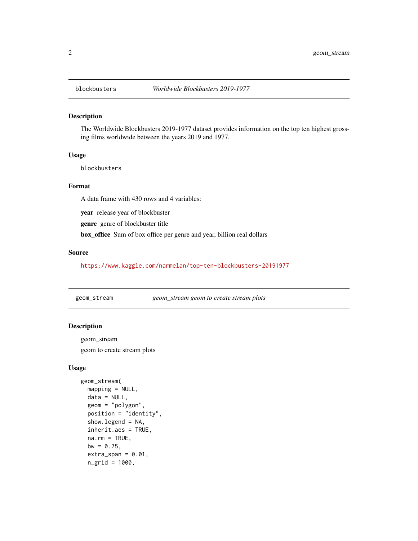#### Description

The Worldwide Blockbusters 2019-1977 dataset provides information on the top ten highest grossing films worldwide between the years 2019 and 1977.

#### Usage

blockbusters

#### Format

A data frame with 430 rows and 4 variables:

year release year of blockbuster

genre genre of blockbuster title

box\_office Sum of box office per genre and year, billion real dollars

#### Source

<https://www.kaggle.com/narmelan/top-ten-blockbusters-20191977>

geom\_stream *geom\_stream geom to create stream plots*

#### Description

geom\_stream

geom to create stream plots

#### Usage

```
geom_stream(
 mapping = NULL,
 data = NULL,geom = "polygon",
 position = "identity",
  show.legend = NA,
  inherit.aes = TRUE,
 na.rm = TRUE,bw = 0.75,
  extra_span = 0.01,n_grid = 1000,
```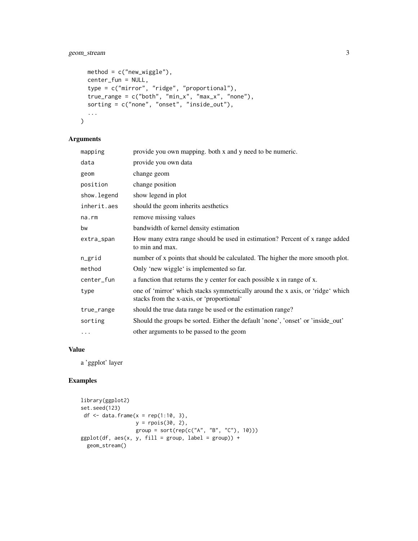#### geom\_stream 3

```
method = c("new_wiggle"),center_fun = NULL,
 type = c("mirror", "ridge", "proportional"),
  true_range = c("both", "min_x", "max_x", "none"),sorting = c("none", "onset", "inside_out"),
  ...
\mathcal{L}
```
#### Arguments

| mapping     | provide you own mapping. both x and y need to be numeric.                                                                   |
|-------------|-----------------------------------------------------------------------------------------------------------------------------|
| data        | provide you own data                                                                                                        |
| geom        | change geom                                                                                                                 |
| position    | change position                                                                                                             |
| show.legend | show legend in plot                                                                                                         |
| inherit.aes | should the geom inherits aesthetics                                                                                         |
| $na$ . $rm$ | remove missing values                                                                                                       |
| bw          | bandwidth of kernel density estimation                                                                                      |
| extra_span  | How many extra range should be used in estimation? Percent of x range added<br>to min and max.                              |
| n_grid      | number of x points that should be calculated. The higher the more smooth plot.                                              |
| method      | Only 'new wiggle' is implemented so far.                                                                                    |
| center_fun  | a function that returns the y center for each possible x in range of x.                                                     |
| type        | one of 'mirror' which stacks symmetrically around the x axis, or 'ridge' which<br>stacks from the x-axis, or 'proportional' |
| true_range  | should the true data range be used or the estimation range?                                                                 |
| sorting     | Should the groups be sorted. Either the default 'none', 'onset' or 'inside_out'                                             |
| $\cdots$    | other arguments to be passed to the geom                                                                                    |

#### Value

a 'ggplot' layer

#### Examples

```
library(ggplot2)
set.seed(123)
df \leq data.frame(x = rep(1:10, 3),
                y = rpois(30, 2),
                 group = sort(rep(c("A", "B", "C"), 10)))
ggplot(df, aes(x, y, fill = group, label = group)) +geom_stream()
```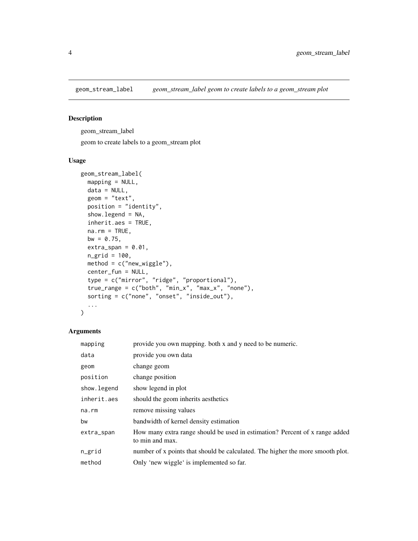<span id="page-3-0"></span>

#### Description

geom\_stream\_label

geom to create labels to a geom\_stream plot

#### Usage

```
geom_stream_label(
 mapping = NULL,
 data = NULL,
  geom = "text",
  position = "identity",
  show.legend = NA,
  inherit.aes = TRUE,
 na.rm = TRUE,bw = 0.75,
 extra_span = 0.01,
 ngrid = 100,
 method = c("new_wiggle"),
 center_fun = NULL,
  type = c("mirror", "ridge", "proportional"),
  true_range = c("both", "min_x", "max_x", "none"),
  sorting = c("none", "onset", "inside_out"),
  ...
\mathcal{L}
```
#### Arguments

| mapping      | provide you own mapping. both x and y need to be numeric.                                      |
|--------------|------------------------------------------------------------------------------------------------|
| data         | provide you own data                                                                           |
| geom         | change geom                                                                                    |
| position     | change position                                                                                |
| show. legend | show legend in plot                                                                            |
| inherit.aes  | should the geom inherits aesthetics                                                            |
| na.rm        | remove missing values                                                                          |
| bw           | bandwidth of kernel density estimation                                                         |
| extra_span   | How many extra range should be used in estimation? Percent of x range added<br>to min and max. |
| n_grid       | number of x points that should be calculated. The higher the more smooth plot.                 |
| method       | Only 'new wiggle' is implemented so far.                                                       |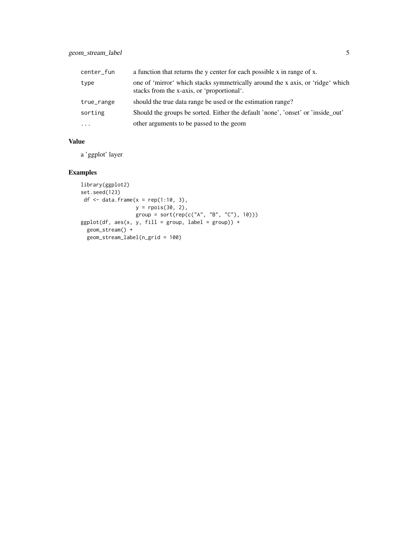| center_fun | a function that returns the y center for each possible x in range of x.                                                      |
|------------|------------------------------------------------------------------------------------------------------------------------------|
| type       | one of 'mirror' which stacks symmetrically around the x axis, or 'ridge' which<br>stacks from the x-axis, or 'proportional'. |
| true_range | should the true data range be used or the estimation range?                                                                  |
| sorting    | Should the groups be sorted. Either the default 'none', 'onset' or 'inside out'                                              |
| $\ddotsc$  | other arguments to be passed to the geom                                                                                     |

#### Value

a 'ggplot' layer

#### Examples

```
library(ggplot2)
set.seed(123)
df \leq data.frame(x = rep(1:10, 3),
               y = rpois(30, 2),
                 group = sort(rep(c("A", "B", "C"), 10)))
ggplot(df, aes(x, y, fill = group, label = group)) +geom_stream() +
  geom_stream_label(n_grid = 100)
```